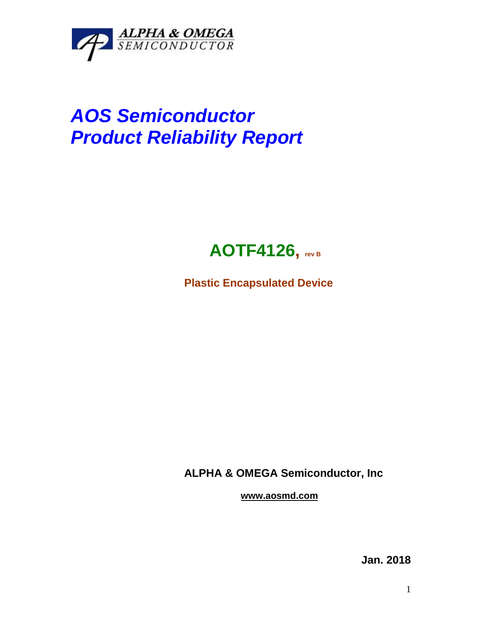

## *AOS Semiconductor Product Reliability Report*



**Plastic Encapsulated Device**

**ALPHA & OMEGA Semiconductor, Inc**

**www.aosmd.com**

**Jan. 2018**